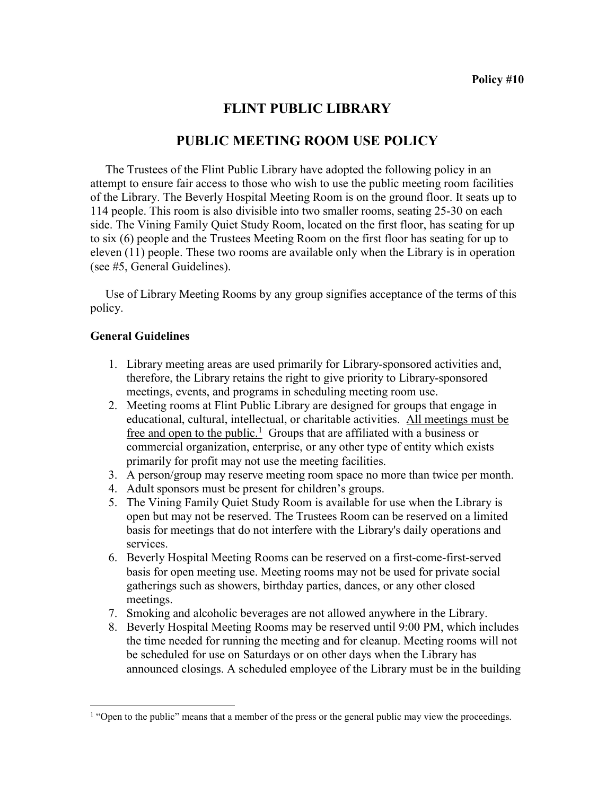# FLINT PUBLIC LIBRARY

# PUBLIC MEETING ROOM USE POLICY

 The Trustees of the Flint Public Library have adopted the following policy in an attempt to ensure fair access to those who wish to use the public meeting room facilities of the Library. The Beverly Hospital Meeting Room is on the ground floor. It seats up to 114 people. This room is also divisible into two smaller rooms, seating 25-30 on each side. The Vining Family Quiet Study Room, located on the first floor, has seating for up to six (6) people and the Trustees Meeting Room on the first floor has seating for up to eleven (11) people. These two rooms are available only when the Library is in operation (see #5, General Guidelines).

 Use of Library Meeting Rooms by any group signifies acceptance of the terms of this policy.

#### General Guidelines

 $\overline{a}$ 

- 1. Library meeting areas are used primarily for Library-sponsored activities and, therefore, the Library retains the right to give priority to Library-sponsored meetings, events, and programs in scheduling meeting room use.
- 2. Meeting rooms at Flint Public Library are designed for groups that engage in educational, cultural, intellectual, or charitable activities. All meetings must be free and open to the public.<sup>1</sup> Groups that are affiliated with a business or commercial organization, enterprise, or any other type of entity which exists primarily for profit may not use the meeting facilities.
- 3. A person/group may reserve meeting room space no more than twice per month.
- 4. Adult sponsors must be present for children's groups.
- 5. The Vining Family Quiet Study Room is available for use when the Library is open but may not be reserved. The Trustees Room can be reserved on a limited basis for meetings that do not interfere with the Library's daily operations and services.
- 6. Beverly Hospital Meeting Rooms can be reserved on a first-come-first-served basis for open meeting use. Meeting rooms may not be used for private social gatherings such as showers, birthday parties, dances, or any other closed meetings.
- 7. Smoking and alcoholic beverages are not allowed anywhere in the Library.
- 8. Beverly Hospital Meeting Rooms may be reserved until 9:00 PM, which includes the time needed for running the meeting and for cleanup. Meeting rooms will not be scheduled for use on Saturdays or on other days when the Library has announced closings. A scheduled employee of the Library must be in the building

<sup>&</sup>lt;sup>1</sup> "Open to the public" means that a member of the press or the general public may view the proceedings.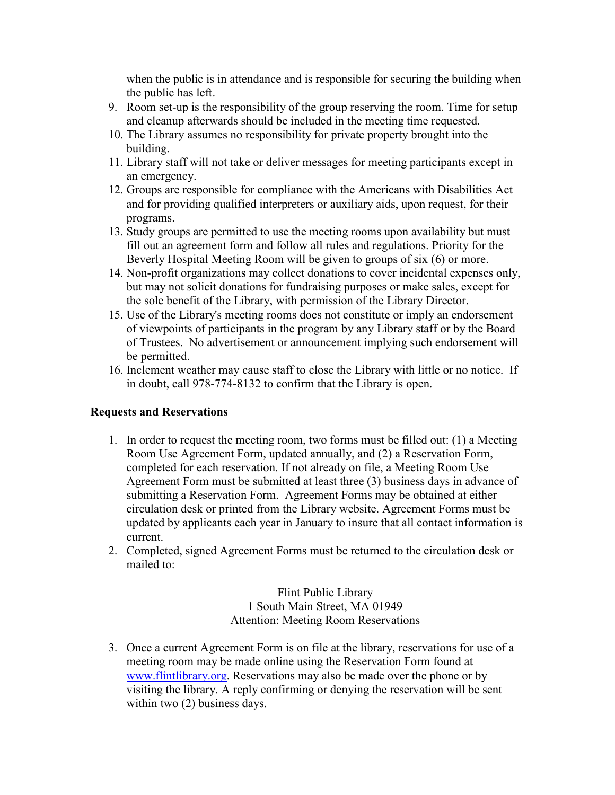when the public is in attendance and is responsible for securing the building when the public has left.

- 9. Room set-up is the responsibility of the group reserving the room. Time for setup and cleanup afterwards should be included in the meeting time requested.
- 10. The Library assumes no responsibility for private property brought into the building.
- 11. Library staff will not take or deliver messages for meeting participants except in an emergency.
- 12. Groups are responsible for compliance with the Americans with Disabilities Act and for providing qualified interpreters or auxiliary aids, upon request, for their programs.
- 13. Study groups are permitted to use the meeting rooms upon availability but must fill out an agreement form and follow all rules and regulations. Priority for the Beverly Hospital Meeting Room will be given to groups of six (6) or more.
- 14. Non-profit organizations may collect donations to cover incidental expenses only, but may not solicit donations for fundraising purposes or make sales, except for the sole benefit of the Library, with permission of the Library Director.
- 15. Use of the Library's meeting rooms does not constitute or imply an endorsement of viewpoints of participants in the program by any Library staff or by the Board of Trustees. No advertisement or announcement implying such endorsement will be permitted.
- 16. Inclement weather may cause staff to close the Library with little or no notice. If in doubt, call 978-774-8132 to confirm that the Library is open.

## Requests and Reservations

- 1. In order to request the meeting room, two forms must be filled out: (1) a Meeting Room Use Agreement Form, updated annually, and (2) a Reservation Form, completed for each reservation. If not already on file, a Meeting Room Use Agreement Form must be submitted at least three (3) business days in advance of submitting a Reservation Form. Agreement Forms may be obtained at either circulation desk or printed from the Library website. Agreement Forms must be updated by applicants each year in January to insure that all contact information is current.
- 2. Completed, signed Agreement Forms must be returned to the circulation desk or mailed to:

Flint Public Library 1 South Main Street, MA 01949 Attention: Meeting Room Reservations

3. Once a current Agreement Form is on file at the library, reservations for use of a meeting room may be made online using the Reservation Form found at www.flintlibrary.org. Reservations may also be made over the phone or by visiting the library. A reply confirming or denying the reservation will be sent within two  $(2)$  business days.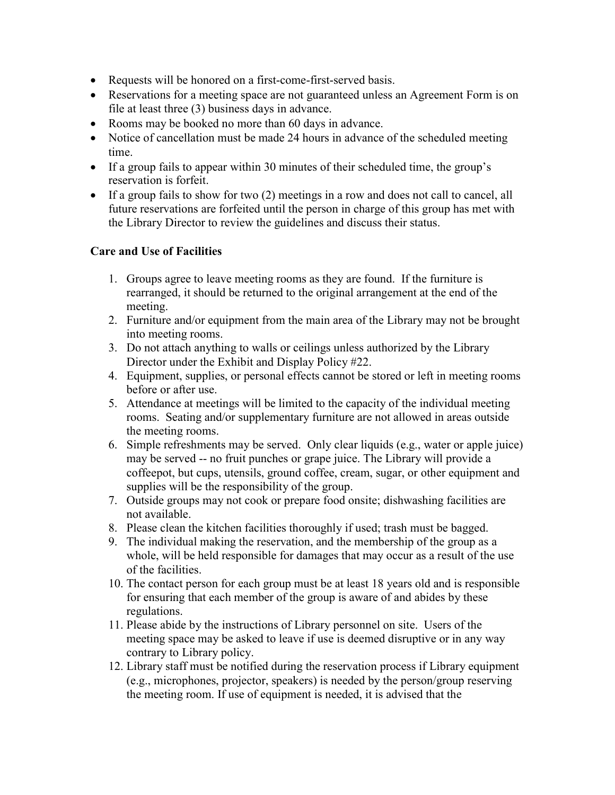- Requests will be honored on a first-come-first-served basis.
- Reservations for a meeting space are not guaranteed unless an Agreement Form is on file at least three (3) business days in advance.
- Rooms may be booked no more than 60 days in advance.
- Notice of cancellation must be made 24 hours in advance of the scheduled meeting time.
- If a group fails to appear within 30 minutes of their scheduled time, the group's reservation is forfeit.
- If a group fails to show for two (2) meetings in a row and does not call to cancel, all future reservations are forfeited until the person in charge of this group has met with the Library Director to review the guidelines and discuss their status.

## Care and Use of Facilities

- 1. Groups agree to leave meeting rooms as they are found. If the furniture is rearranged, it should be returned to the original arrangement at the end of the meeting.
- 2. Furniture and/or equipment from the main area of the Library may not be brought into meeting rooms.
- 3. Do not attach anything to walls or ceilings unless authorized by the Library Director under the Exhibit and Display Policy #22.
- 4. Equipment, supplies, or personal effects cannot be stored or left in meeting rooms before or after use.
- 5. Attendance at meetings will be limited to the capacity of the individual meeting rooms. Seating and/or supplementary furniture are not allowed in areas outside the meeting rooms.
- 6. Simple refreshments may be served. Only clear liquids (e.g., water or apple juice) may be served -- no fruit punches or grape juice. The Library will provide a coffeepot, but cups, utensils, ground coffee, cream, sugar, or other equipment and supplies will be the responsibility of the group.
- 7. Outside groups may not cook or prepare food onsite; dishwashing facilities are not available.
- 8. Please clean the kitchen facilities thoroughly if used; trash must be bagged.
- 9. The individual making the reservation, and the membership of the group as a whole, will be held responsible for damages that may occur as a result of the use of the facilities.
- 10. The contact person for each group must be at least 18 years old and is responsible for ensuring that each member of the group is aware of and abides by these regulations.
- 11. Please abide by the instructions of Library personnel on site. Users of the meeting space may be asked to leave if use is deemed disruptive or in any way contrary to Library policy.
- 12. Library staff must be notified during the reservation process if Library equipment (e.g., microphones, projector, speakers) is needed by the person/group reserving the meeting room. If use of equipment is needed, it is advised that the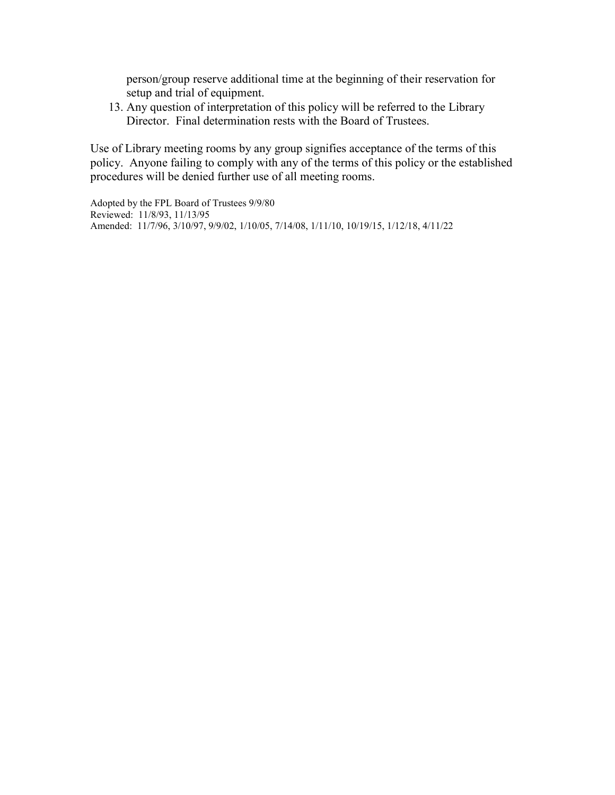person/group reserve additional time at the beginning of their reservation for setup and trial of equipment.

13. Any question of interpretation of this policy will be referred to the Library Director. Final determination rests with the Board of Trustees.

Use of Library meeting rooms by any group signifies acceptance of the terms of this policy. Anyone failing to comply with any of the terms of this policy or the established procedures will be denied further use of all meeting rooms.

Adopted by the FPL Board of Trustees 9/9/80 Reviewed: 11/8/93, 11/13/95 Amended: 11/7/96, 3/10/97, 9/9/02, 1/10/05, 7/14/08, 1/11/10, 10/19/15, 1/12/18, 4/11/22